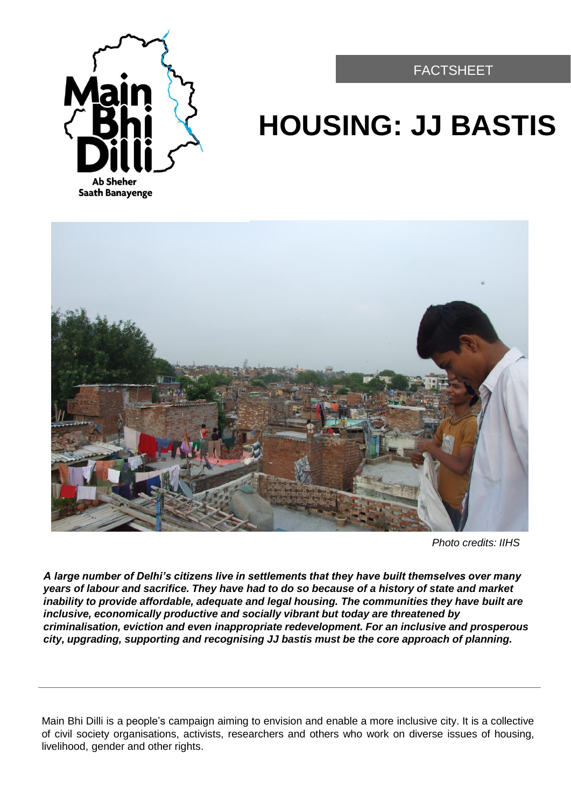FACTSHEET



# **HOUSING: JJ BASTIS**



*Photo credits: IIHS*

*A large number of Delhi's citizens live in settlements that they have built themselves over many years of labour and sacrifice. They have had to do so because of a history of state and market inability to provide affordable, adequate and legal housing. The communities they have built are inclusive, economically productive and socially vibrant but today are threatened by criminalisation, eviction and even inappropriate redevelopment. For an inclusive and prosperous city, upgrading, supporting and recognising JJ bastis must be the core approach of planning.*

Main Bhi Dilli is a people's campaign aiming to envision and enable a more inclusive city. It is a collective of civil society organisations, activists, researchers and others who work on diverse issues of housing, livelihood, gender and other rights.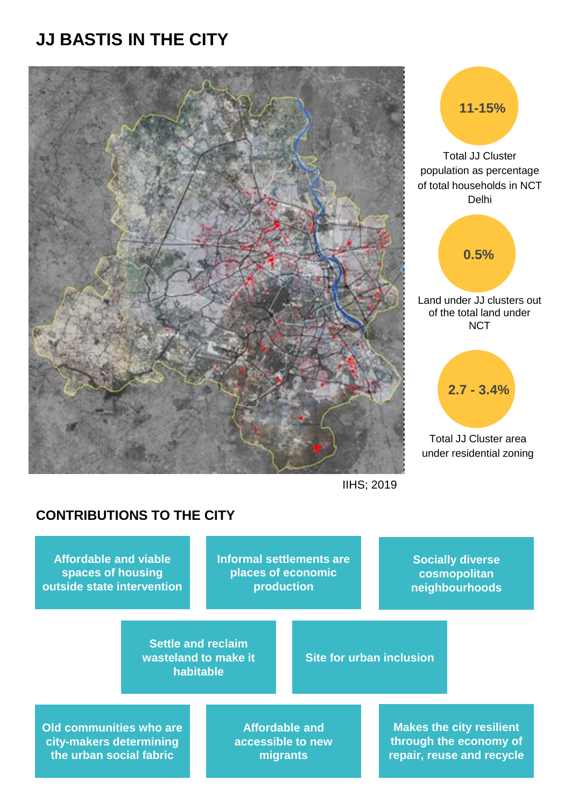# **JJ BASTIS IN THE CITY**





IIHS; 2019

### **CONTRIBUTIONS TO THE CITY**

**Affordable and viable spaces of housing outside state intervention** **Informal settlements are places of economic production**

**Socially diverse cosmopolitan neighbourhoods** 

**Settle and reclaim wasteland to make it habitable**

**Site for urban inclusion** 

**Old communities who are city-makers determining the urban social fabric**

**Affordable and accessible to new migrants** 

**Makes the city resilient through the economy of repair, reuse and recycle**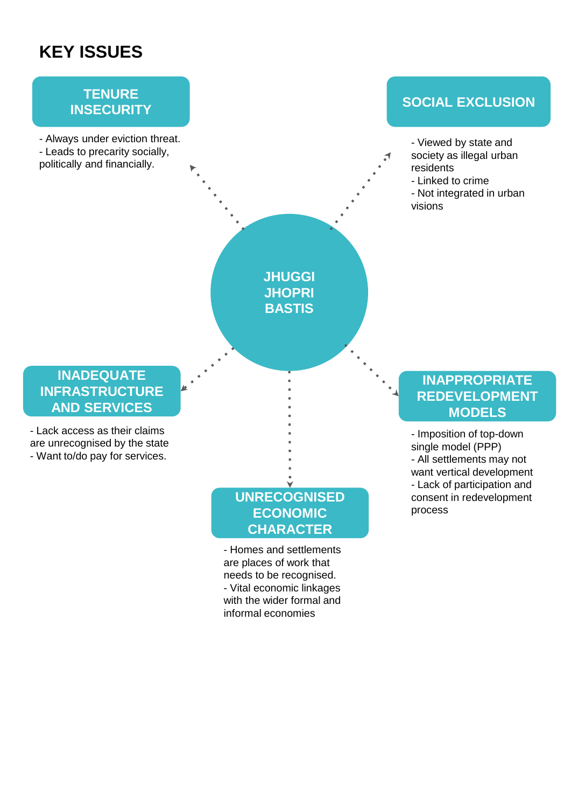## **KEY ISSUES**

# **TENURE**

- Always under eviction threat. - Leads to precarity socially, politically and financially.

# **INSECURITY SOCIAL EXCLUSION**

- Viewed by state and
- society as illegal urban residents
	- Linked to crime
	- Not integrated in urban visions

### **INADEQUATE INFRASTRUCTURE AND SERVICES**

- Lack access as their claims are unrecognised by the state - Want to/do pay for services.

## **UNRECOGNISED ECONOMIC CHARACTER**

**JHUGGI JHOPRI BASTIS**

- Homes and settlements are places of work that needs to be recognised. - Vital economic linkages with the wider formal and informal economies

### **INAPPROPRIATE REDEVELOPMENT MODELS**

- Imposition of top-down single model (PPP) - All settlements may not want vertical development - Lack of participation and consent in redevelopment process